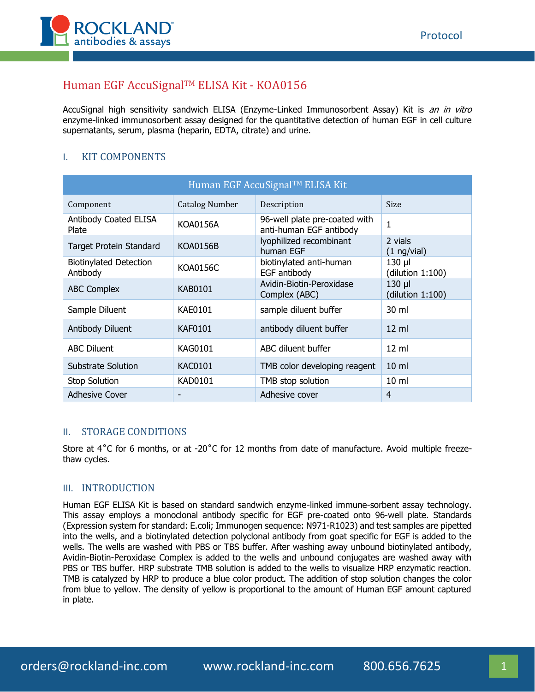

# Human EGF AccuSignalTM ELISA Kit - KOA0156

AccuSignal high sensitivity sandwich ELISA (Enzyme-Linked Immunosorbent Assay) Kit is an in vitro enzyme-linked immunosorbent assay designed for the quantitative detection of human EGF in cell culture supernatants, serum, plasma (heparin, EDTA, citrate) and urine.

## I. KIT COMPONENTS

| Human EGF AccuSignal™ ELISA Kit           |                       |                                                          |                                |  |  |
|-------------------------------------------|-----------------------|----------------------------------------------------------|--------------------------------|--|--|
| Component                                 | <b>Catalog Number</b> | Description                                              | <b>Size</b>                    |  |  |
| Antibody Coated ELISA<br>Plate            | KOA0156A              | 96-well plate pre-coated with<br>anti-human EGF antibody | 1                              |  |  |
| Target Protein Standard                   | <b>KOA0156B</b>       | lyophilized recombinant<br>human EGF                     | 2 vials<br>$(1 \nmid y$ /vial) |  |  |
| <b>Biotinylated Detection</b><br>Antibody | <b>KOA0156C</b>       | biotinylated anti-human<br>EGF antibody                  | $130$ µl<br>(dilution 1:100)   |  |  |
| <b>ABC Complex</b>                        | KAB0101               | Avidin-Biotin-Peroxidase<br>Complex (ABC)                | $130$ µ<br>(dilution 1:100)    |  |  |
| Sample Diluent                            | <b>KAE0101</b>        | sample diluent buffer                                    | 30 ml                          |  |  |
| Antibody Diluent                          | <b>KAF0101</b>        | antibody diluent buffer                                  | $12 \text{ ml}$                |  |  |
| <b>ABC Diluent</b>                        | KAG0101               | ABC diluent buffer                                       | $12 \text{ ml}$                |  |  |
| Substrate Solution                        | <b>KAC0101</b>        | TMB color developing reagent                             | $10$ ml                        |  |  |
| <b>Stop Solution</b>                      | KAD0101               | TMB stop solution                                        | 10 <sub>m</sub>                |  |  |
| <b>Adhesive Cover</b>                     |                       | Adhesive cover                                           | 4                              |  |  |

#### II. STORAGE CONDITIONS

Store at 4<sup>°</sup>C for 6 months, or at -20<sup>°</sup>C for 12 months from date of manufacture. Avoid multiple freezethaw cycles.

#### III. INTRODUCTION

Human EGF ELISA Kit is based on standard sandwich enzyme-linked immune-sorbent assay technology. This assay employs a monoclonal antibody specific for EGF pre-coated onto 96-well plate. Standards (Expression system for standard: E.coli; Immunogen sequence: N971-R1023) and test samples are pipetted into the wells, and a biotinylated detection polyclonal antibody from goat specific for EGF is added to the wells. The wells are washed with PBS or TBS buffer. After washing away unbound biotinylated antibody, Avidin-Biotin-Peroxidase Complex is added to the wells and unbound conjugates are washed away with PBS or TBS buffer. HRP substrate TMB solution is added to the wells to visualize HRP enzymatic reaction. TMB is catalyzed by HRP to produce a blue color product. The addition of stop solution changes the color from blue to yellow. The density of yellow is proportional to the amount of Human EGF amount captured in plate.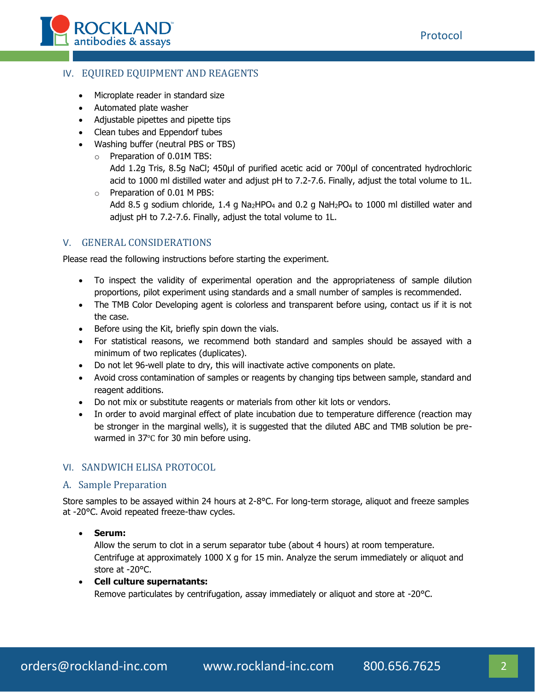

## IV. EQUIRED EQUIPMENT AND REAGENTS

- Microplate reader in standard size
- Automated plate washer
- Adjustable pipettes and pipette tips
- Clean tubes and Eppendorf tubes
- Washing buffer (neutral PBS or TBS)
	- o Preparation of 0.01M TBS: Add 1.2g Tris, 8.5g NaCl; 450μl of purified acetic acid or 700μl of concentrated hydrochloric acid to 1000 ml distilled water and adjust pH to 7.2-7.6. Finally, adjust the total volume to 1L.
	- o Preparation of 0.01 M PBS: Add 8.5 g sodium chloride, 1.4 g Na2HPO<sub>4</sub> and 0.2 g NaH<sub>2</sub>PO<sub>4</sub> to 1000 ml distilled water and adjust pH to 7.2-7.6. Finally, adjust the total volume to 1L.

## V. GENERAL CONSIDERATIONS

Please read the following instructions before starting the experiment.

- To inspect the validity of experimental operation and the appropriateness of sample dilution proportions, pilot experiment using standards and a small number of samples is recommended.
- The TMB Color Developing agent is colorless and transparent before using, contact us if it is not the case.
- Before using the Kit, briefly spin down the vials.
- For statistical reasons, we recommend both standard and samples should be assayed with a minimum of two replicates (duplicates).
- Do not let 96-well plate to dry, this will inactivate active components on plate.
- Avoid cross contamination of samples or reagents by changing tips between sample, standard and reagent additions.
- Do not mix or substitute reagents or materials from other kit lots or vendors.
- In order to avoid marginal effect of plate incubation due to temperature difference (reaction may be stronger in the marginal wells), it is suggested that the diluted ABC and TMB solution be prewarmed in 37℃ for 30 min before using.

#### VI. SANDWICH ELISA PROTOCOL

#### A. Sample Preparation

Store samples to be assayed within 24 hours at 2-8°C. For long-term storage, aliquot and freeze samples at -20°C. Avoid repeated freeze-thaw cycles.

• **Serum:** Allow the serum to clot in a serum separator tube (about 4 hours) at room temperature. Centrifuge at approximately 1000 X g for 15 min. Analyze the serum immediately or aliquot and store at -20°C.

## • **Cell culture supernatants:**  Remove particulates by centrifugation, assay immediately or aliquot and store at -20°C.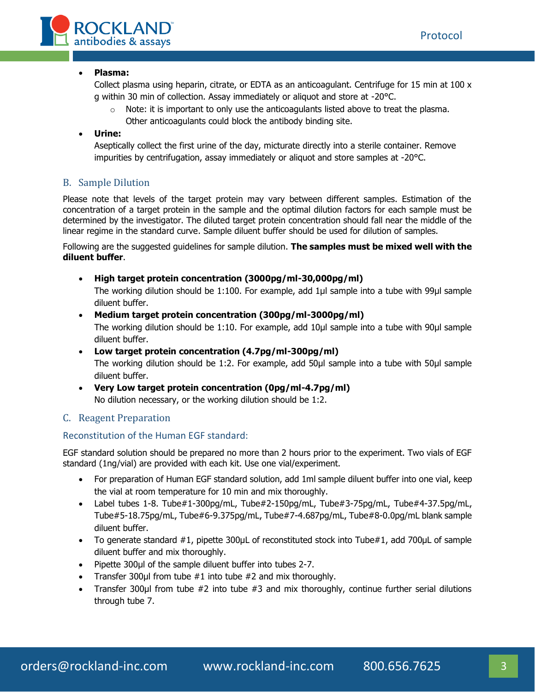

#### • **Plasma:**

Collect plasma using heparin, citrate, or EDTA as an anticoagulant. Centrifuge for 15 min at 100  $\times$ g within 30 min of collection. Assay immediately or aliquot and store at -20°C.

 $\circ$  Note: it is important to only use the anticoagulants listed above to treat the plasma. Other anticoagulants could block the antibody binding site.

#### • **Urine:**

Aseptically collect the first urine of the day, micturate directly into a sterile container. Remove impurities by centrifugation, assay immediately or aliquot and store samples at -20°C.

### B. Sample Dilution

Please note that levels of the target protein may vary between different samples. Estimation of the concentration of a target protein in the sample and the optimal dilution factors for each sample must be determined by the investigator. The diluted target protein concentration should fall near the middle of the linear regime in the standard curve. Sample diluent buffer should be used for dilution of samples.

Following are the suggested guidelines for sample dilution. **The samples must be mixed well with the diluent buffer**.

- **High target protein concentration (3000pg/ml-30,000pg/ml)** The working dilution should be 1:100. For example, add 1μl sample into a tube with 99μl sample diluent buffer.
- **Medium target protein concentration (300pg/ml-3000pg/ml)** The working dilution should be 1:10. For example, add 10μl sample into a tube with 90μl sample diluent buffer.
- **Low target protein concentration (4.7pg/ml-300pg/ml)** The working dilution should be 1:2. For example, add 50μl sample into a tube with 50μl sample diluent buffer.
- **Very Low target protein concentration (0pg/ml-4.7pg/ml)** No dilution necessary, or the working dilution should be 1:2.

## C. Reagent Preparation

#### Reconstitution of the Human EGF standard:

EGF standard solution should be prepared no more than 2 hours prior to the experiment. Two vials of EGF standard (1ng/vial) are provided with each kit. Use one vial/experiment.

- For preparation of Human EGF standard solution, add 1ml sample diluent buffer into one vial, keep the vial at room temperature for 10 min and mix thoroughly.
- Label tubes 1-8. Tube#1-300pg/mL, Tube#2-150pg/mL, Tube#3-75pg/mL, Tube#4-37.5pg/mL, Tube#5-18.75pg/mL, Tube#6-9.375pg/mL, Tube#7-4.687pg/mL, Tube#8-0.0pg/mL blank sample diluent buffer.
- To generate standard  $#1$ , pipette 300 $\mu$ L of reconstituted stock into Tube $#1$ , add 700 $\mu$ L of sample diluent buffer and mix thoroughly.
- Pipette 300μl of the sample diluent buffer into tubes 2-7.
- Transfer 300 $\mu$ I from tube  $\#1$  into tube  $\#2$  and mix thoroughly.
- Transfer 300μl from tube #2 into tube #3 and mix thoroughly, continue further serial dilutions through tube 7.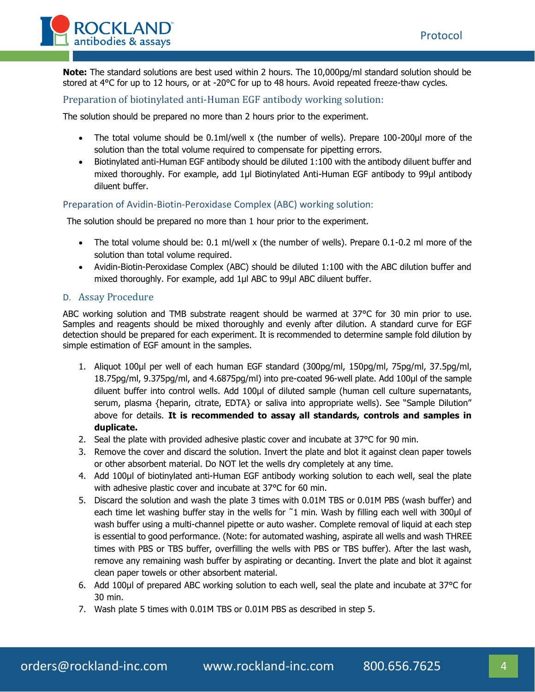

**Note:** The standard solutions are best used within 2 hours. The 10,000pg/ml standard solution should be stored at 4°C for up to 12 hours, or at -20°C for up to 48 hours. Avoid repeated freeze-thaw cycles.

#### Preparation of biotinylated anti-Human EGF antibody working solution:

The solution should be prepared no more than 2 hours prior to the experiment.

- The total volume should be 0.1ml/well x (the number of wells). Prepare 100-200μl more of the solution than the total volume required to compensate for pipetting errors.
- Biotinylated anti-Human EGF antibody should be diluted 1:100 with the antibody diluent buffer and mixed thoroughly. For example, add 1μl Biotinylated Anti-Human EGF antibody to 99μl antibody diluent buffer.

#### Preparation of Avidin-Biotin-Peroxidase Complex (ABC) working solution:

The solution should be prepared no more than 1 hour prior to the experiment.

- The total volume should be: 0.1 ml/well x (the number of wells). Prepare 0.1-0.2 ml more of the solution than total volume required.
- Avidin-Biotin-Peroxidase Complex (ABC) should be diluted 1:100 with the ABC dilution buffer and mixed thoroughly. For example, add 1μl ABC to 99μl ABC diluent buffer.

#### D. Assay Procedure

ABC working solution and TMB substrate reagent should be warmed at 37°C for 30 min prior to use. Samples and reagents should be mixed thoroughly and evenly after dilution. A standard curve for EGF detection should be prepared for each experiment. It is recommended to determine sample fold dilution by simple estimation of EGF amount in the samples.

- 1. Aliquot 100μl per well of each human EGF standard (300pg/ml, 150pg/ml, 75pg/ml, 37.5pg/ml, 18.75pg/ml, 9.375pg/ml, and 4.6875pg/ml) into pre-coated 96-well plate. Add 100μl of the sample diluent buffer into control wells. Add 100μl of diluted sample (human cell culture supernatants, serum, plasma {heparin, citrate, EDTA} or saliva into appropriate wells). See "Sample Dilution" above for details. **It is recommended to assay all standards, controls and samples in duplicate.**
- 2. Seal the plate with provided adhesive plastic cover and incubate at 37°C for 90 min.
- 3. Remove the cover and discard the solution. Invert the plate and blot it against clean paper towels or other absorbent material. Do NOT let the wells dry completely at any time.
- 4. Add 100μl of biotinylated anti-Human EGF antibody working solution to each well, seal the plate with adhesive plastic cover and incubate at 37°C for 60 min.
- 5. Discard the solution and wash the plate 3 times with 0.01M TBS or 0.01M PBS (wash buffer) and each time let washing buffer stay in the wells for ~1 min. Wash by filling each well with 300µl of wash buffer using a multi-channel pipette or auto washer. Complete removal of liquid at each step is essential to good performance. (Note: for automated washing, aspirate all wells and wash THREE times with PBS or TBS buffer, overfilling the wells with PBS or TBS buffer). After the last wash, remove any remaining wash buffer by aspirating or decanting. Invert the plate and blot it against clean paper towels or other absorbent material.
- 6. Add 100μl of prepared ABC working solution to each well, seal the plate and incubate at 37°C for 30 min.
- 7. Wash plate 5 times with 0.01M TBS or 0.01M PBS as described in step 5.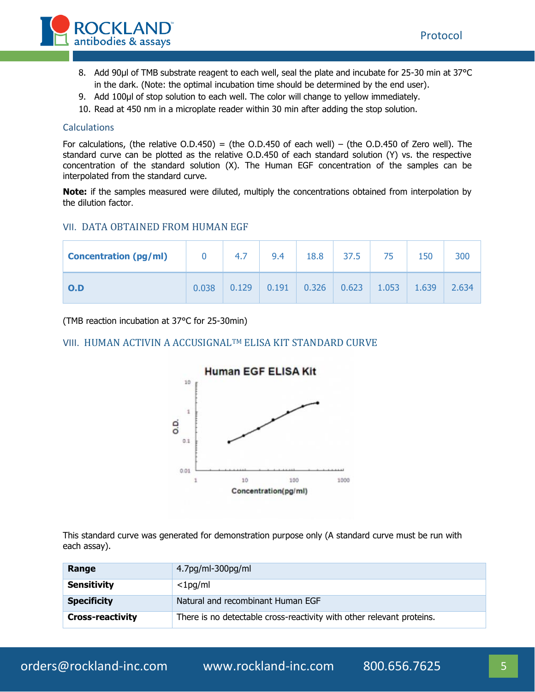

- 8. Add 90µl of TMB substrate reagent to each well, seal the plate and incubate for 25-30 min at 37°C in the dark. (Note: the optimal incubation time should be determined by the end user).
- 9. Add 100μl of stop solution to each well. The color will change to yellow immediately.
- 10. Read at 450 nm in a microplate reader within 30 min after adding the stop solution.

#### **Calculations**

For calculations, (the relative O.D.450) = (the O.D.450 of each well) – (the O.D.450 of Zero well). The standard curve can be plotted as the relative O.D.450 of each standard solution (Y) vs. the respective concentration of the standard solution (X). The Human EGF concentration of the samples can be interpolated from the standard curve.

**Note:** if the samples measured were diluted, multiply the concentrations obtained from interpolation by the dilution factor.

#### VII. DATA OBTAINED FROM HUMAN EGF

| <b>Concentration (pg/ml)</b> |       | 4.7   | 9.4   | 18.8  | 37.5  | 75    | 150   | 300   |
|------------------------------|-------|-------|-------|-------|-------|-------|-------|-------|
| O.D                          | 0.038 | 0.129 | 0.191 | 0.326 | 0.623 | 1.053 | 1.639 | 2.634 |

(TMB reaction incubation at 37°C for 25-30min)

#### VIII. HUMAN ACTIVIN A ACCUSIGNALTM ELISA KIT STANDARD CURVE



This standard curve was generated for demonstration purpose only (A standard curve must be run with each assay).

| Range                   | $4.7pg/ml-300pg/ml$                                                   |
|-------------------------|-----------------------------------------------------------------------|
| <b>Sensitivity</b>      | $<$ 1pg/ml                                                            |
| <b>Specificity</b>      | Natural and recombinant Human EGF                                     |
| <b>Cross-reactivity</b> | There is no detectable cross-reactivity with other relevant proteins. |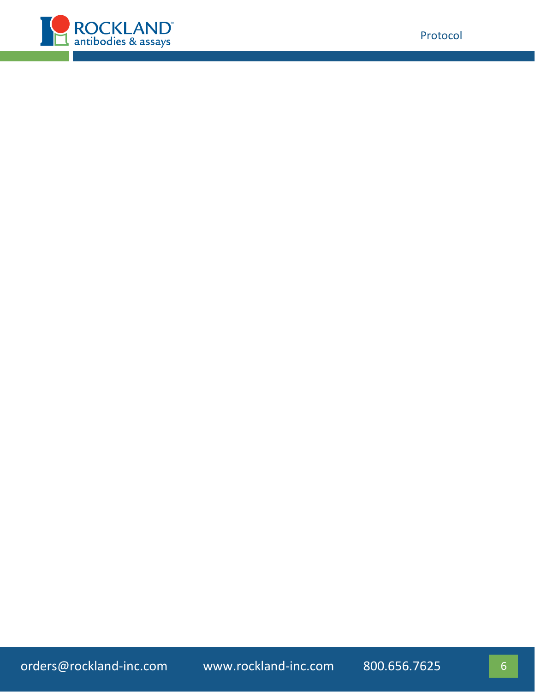

orders@rockland-inc.com www.rockland-inc.com 800.656.7625 | 6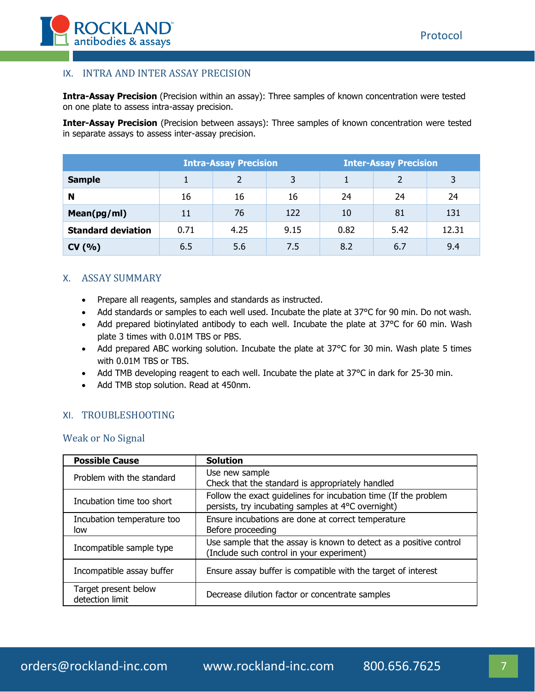

### IX. INTRA AND INTER ASSAY PRECISION

**Intra-Assay Precision** (Precision within an assay): Three samples of known concentration were tested on one plate to assess intra-assay precision.

**Inter-Assay Precision** (Precision between assays): Three samples of known concentration were tested in separate assays to assess inter-assay precision.

|                           | <b>Intra-Assay Precision</b> |      |      | <b>Inter-Assay Precision</b> |      |       |
|---------------------------|------------------------------|------|------|------------------------------|------|-------|
| <b>Sample</b>             | 2                            |      | 3    |                              | 2    | 3     |
| N                         | 16                           | 16   | 16   | 24                           | 24   | 24    |
| Mean(pg/ml)               | 11                           | 76   | 122  | 10                           | 81   | 131   |
| <b>Standard deviation</b> | 0.71                         | 4.25 | 9.15 | 0.82                         | 5.42 | 12.31 |
| CV(% )                    | 6.5                          | 5.6  | 7.5  | 8.2                          | 6.7  | 9.4   |

#### X. ASSAY SUMMARY

- Prepare all reagents, samples and standards as instructed.
- Add standards or samples to each well used. Incubate the plate at 37°C for 90 min. Do not wash.
- Add prepared biotinylated antibody to each well. Incubate the plate at 37°C for 60 min. Wash plate 3 times with 0.01M TBS or PBS.
- Add prepared ABC working solution. Incubate the plate at 37°C for 30 min. Wash plate 5 times with 0.01M TBS or TBS.
- Add TMB developing reagent to each well. Incubate the plate at 37°C in dark for 25-30 min.
- Add TMB stop solution. Read at 450nm.

#### XI. TROUBLESHOOTING

#### Weak or No Signal

| <b>Possible Cause</b>                   | <b>Solution</b>                                                                                                       |
|-----------------------------------------|-----------------------------------------------------------------------------------------------------------------------|
| Problem with the standard               | Use new sample<br>Check that the standard is appropriately handled                                                    |
| Incubation time too short               | Follow the exact guidelines for incubation time (If the problem<br>persists, try incubating samples at 4°C overnight) |
| Incubation temperature too<br>low       | Ensure incubations are done at correct temperature<br>Before proceeding                                               |
| Incompatible sample type                | Use sample that the assay is known to detect as a positive control<br>(Include such control in your experiment)       |
| Incompatible assay buffer               | Ensure assay buffer is compatible with the target of interest                                                         |
| Target present below<br>detection limit | Decrease dilution factor or concentrate samples                                                                       |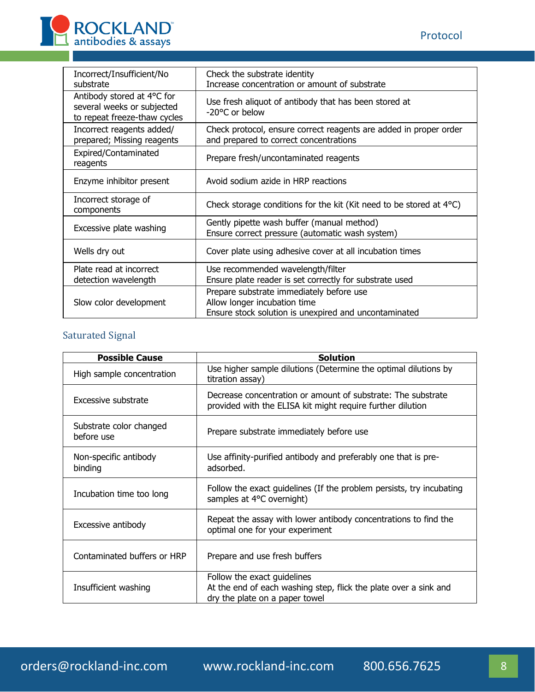

| Incorrect/Insufficient/No<br>substrate                                                   | Check the substrate identity<br>Increase concentration or amount of substrate                               |
|------------------------------------------------------------------------------------------|-------------------------------------------------------------------------------------------------------------|
| Antibody stored at 4°C for<br>several weeks or subjected<br>to repeat freeze-thaw cycles | Use fresh aliquot of antibody that has been stored at<br>-20°C or below                                     |
| Incorrect reagents added/<br>prepared; Missing reagents                                  | Check protocol, ensure correct reagents are added in proper order<br>and prepared to correct concentrations |
| Expired/Contaminated<br>reagents                                                         | Prepare fresh/uncontaminated reagents                                                                       |
| Enzyme inhibitor present                                                                 | Avoid sodium azide in HRP reactions                                                                         |
| Incorrect storage of<br>components                                                       | Check storage conditions for the kit (Kit need to be stored at $4^{\circ}$ C)                               |
| Excessive plate washing                                                                  | Gently pipette wash buffer (manual method)<br>Ensure correct pressure (automatic wash system)               |
| Wells dry out                                                                            | Cover plate using adhesive cover at all incubation times                                                    |
| Plate read at incorrect                                                                  | Use recommended wavelength/filter                                                                           |
| detection wavelength                                                                     | Ensure plate reader is set correctly for substrate used                                                     |
|                                                                                          | Prepare substrate immediately before use                                                                    |
| Slow color development                                                                   | Allow longer incubation time                                                                                |
|                                                                                          | Ensure stock solution is unexpired and uncontaminated                                                       |

# Saturated Signal

| <b>Possible Cause</b>                 | <b>Solution</b>                                                                                                                   |
|---------------------------------------|-----------------------------------------------------------------------------------------------------------------------------------|
| High sample concentration             | Use higher sample dilutions (Determine the optimal dilutions by<br>titration assay)                                               |
| Excessive substrate                   | Decrease concentration or amount of substrate: The substrate<br>provided with the ELISA kit might require further dilution        |
| Substrate color changed<br>before use | Prepare substrate immediately before use                                                                                          |
| Non-specific antibody<br>binding      | Use affinity-purified antibody and preferably one that is pre-<br>adsorbed.                                                       |
| Incubation time too long              | Follow the exact guidelines (If the problem persists, try incubating<br>samples at 4°C overnight)                                 |
| Excessive antibody                    | Repeat the assay with lower antibody concentrations to find the<br>optimal one for your experiment                                |
| Contaminated buffers or HRP           | Prepare and use fresh buffers                                                                                                     |
| Insufficient washing                  | Follow the exact guidelines<br>At the end of each washing step, flick the plate over a sink and<br>dry the plate on a paper towel |

orders@rockland-inc.com www.rockland-inc.com 800.656.7625 | 8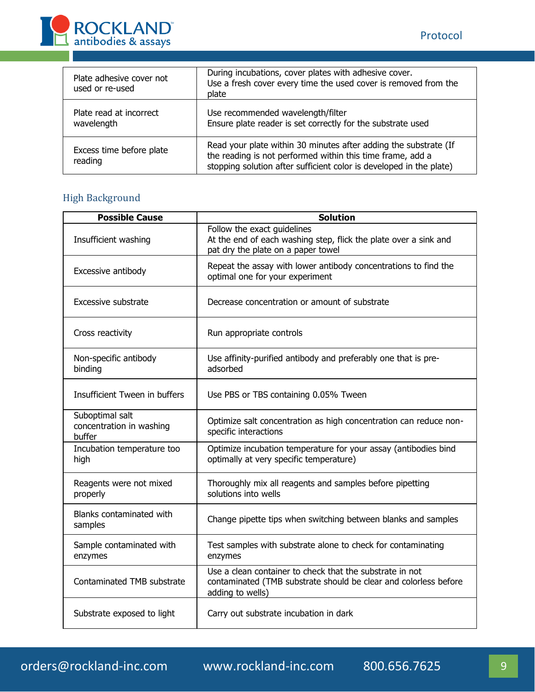

| Plate adhesive cover not<br>used or re-used | During incubations, cover plates with adhesive cover.<br>Use a fresh cover every time the used cover is removed from the<br>plate                                                                     |
|---------------------------------------------|-------------------------------------------------------------------------------------------------------------------------------------------------------------------------------------------------------|
| Plate read at incorrect<br>wavelength       | Use recommended wavelength/filter<br>Ensure plate reader is set correctly for the substrate used                                                                                                      |
| Excess time before plate<br>reading         | Read your plate within 30 minutes after adding the substrate (If<br>the reading is not performed within this time frame, add a<br>stopping solution after sufficient color is developed in the plate) |

# High Background

| <b>Possible Cause</b>                                 | <b>Solution</b>                                                                                                                                  |
|-------------------------------------------------------|--------------------------------------------------------------------------------------------------------------------------------------------------|
| Insufficient washing                                  | Follow the exact quidelines<br>At the end of each washing step, flick the plate over a sink and<br>pat dry the plate on a paper towel            |
| Excessive antibody                                    | Repeat the assay with lower antibody concentrations to find the<br>optimal one for your experiment                                               |
| Excessive substrate                                   | Decrease concentration or amount of substrate                                                                                                    |
| Cross reactivity                                      | Run appropriate controls                                                                                                                         |
| Non-specific antibody<br>binding                      | Use affinity-purified antibody and preferably one that is pre-<br>adsorbed                                                                       |
| Insufficient Tween in buffers                         | Use PBS or TBS containing 0.05% Tween                                                                                                            |
| Suboptimal salt<br>concentration in washing<br>buffer | Optimize salt concentration as high concentration can reduce non-<br>specific interactions                                                       |
| Incubation temperature too<br>high                    | Optimize incubation temperature for your assay (antibodies bind<br>optimally at very specific temperature)                                       |
| Reagents were not mixed<br>properly                   | Thoroughly mix all reagents and samples before pipetting<br>solutions into wells                                                                 |
| Blanks contaminated with<br>samples                   | Change pipette tips when switching between blanks and samples                                                                                    |
| Sample contaminated with<br>enzymes                   | Test samples with substrate alone to check for contaminating<br>enzymes                                                                          |
| Contaminated TMB substrate                            | Use a clean container to check that the substrate in not<br>contaminated (TMB substrate should be clear and colorless before<br>adding to wells) |
| Substrate exposed to light                            | Carry out substrate incubation in dark                                                                                                           |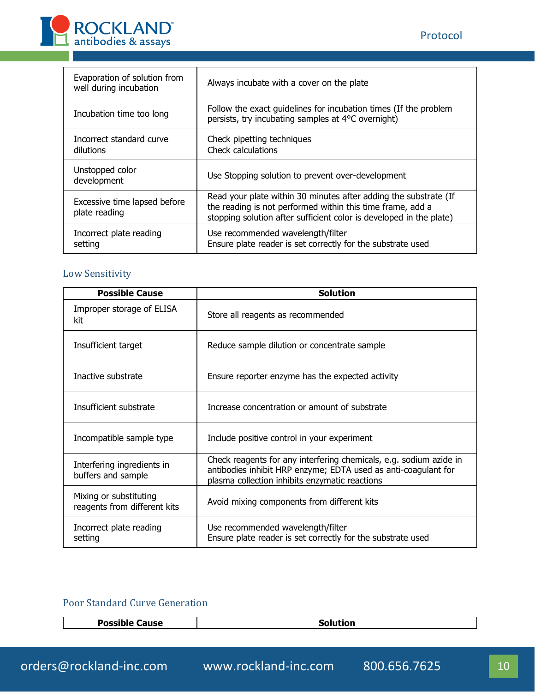

| Evaporation of solution from<br>well during incubation | Always incubate with a cover on the plate                                                                                                                                                             |
|--------------------------------------------------------|-------------------------------------------------------------------------------------------------------------------------------------------------------------------------------------------------------|
| Incubation time too long                               | Follow the exact quidelines for incubation times (If the problem<br>persists, try incubating samples at 4°C overnight)                                                                                |
| Incorrect standard curve<br>dilutions                  | Check pipetting techniques<br>Check calculations                                                                                                                                                      |
| Unstopped color<br>development                         | Use Stopping solution to prevent over-development                                                                                                                                                     |
| Excessive time lapsed before<br>plate reading          | Read your plate within 30 minutes after adding the substrate (If<br>the reading is not performed within this time frame, add a<br>stopping solution after sufficient color is developed in the plate) |
| Incorrect plate reading<br>setting                     | Use recommended wavelength/filter<br>Ensure plate reader is set correctly for the substrate used                                                                                                      |

## Low Sensitivity

| <b>Possible Cause</b>                                  | <b>Solution</b>                                                                                                                                                                        |  |
|--------------------------------------------------------|----------------------------------------------------------------------------------------------------------------------------------------------------------------------------------------|--|
| Improper storage of ELISA<br>kit                       | Store all reagents as recommended                                                                                                                                                      |  |
| Insufficient target                                    | Reduce sample dilution or concentrate sample                                                                                                                                           |  |
| Inactive substrate                                     | Ensure reporter enzyme has the expected activity                                                                                                                                       |  |
| Insufficient substrate                                 | Increase concentration or amount of substrate                                                                                                                                          |  |
| Incompatible sample type                               | Include positive control in your experiment                                                                                                                                            |  |
| Interfering ingredients in<br>buffers and sample       | Check reagents for any interfering chemicals, e.g. sodium azide in<br>antibodies inhibit HRP enzyme; EDTA used as anti-coagulant for<br>plasma collection inhibits enzymatic reactions |  |
| Mixing or substituting<br>reagents from different kits | Avoid mixing components from different kits                                                                                                                                            |  |
| Incorrect plate reading<br>setting                     | Use recommended wavelength/filter<br>Ensure plate reader is set correctly for the substrate used                                                                                       |  |

# Poor Standard Curve Generation

| -<br>Possih<br>Cause | .<br>--<br>TION. |
|----------------------|------------------|
|                      |                  |

orders@rockland-inc.com www.rockland-inc.com 800.656.7625 10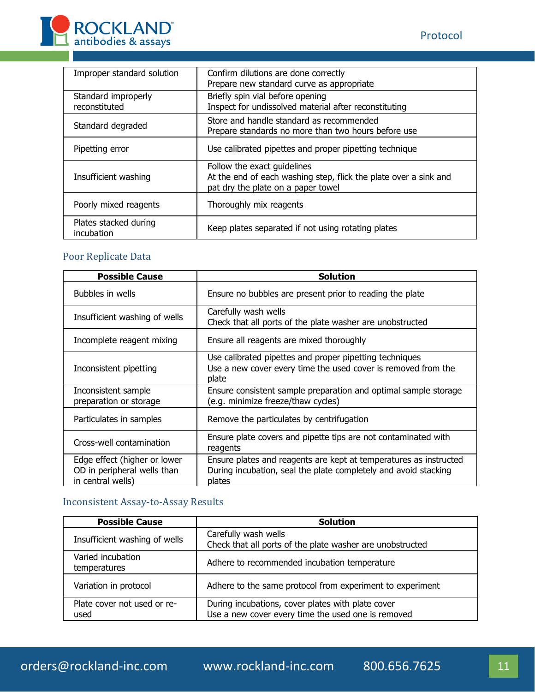

| Improper standard solution           | Confirm dilutions are done correctly<br>Prepare new standard curve as appropriate                                                     |  |
|--------------------------------------|---------------------------------------------------------------------------------------------------------------------------------------|--|
| Standard improperly<br>reconstituted | Briefly spin vial before opening<br>Inspect for undissolved material after reconstituting                                             |  |
| Standard degraded                    | Store and handle standard as recommended<br>Prepare standards no more than two hours before use                                       |  |
| Pipetting error                      | Use calibrated pipettes and proper pipetting technique                                                                                |  |
| Insufficient washing                 | Follow the exact quidelines<br>At the end of each washing step, flick the plate over a sink and<br>pat dry the plate on a paper towel |  |
| Poorly mixed reagents                | Thoroughly mix reagents                                                                                                               |  |
| Plates stacked during<br>incubation  | Keep plates separated if not using rotating plates                                                                                    |  |

# Poor Replicate Data

| <b>Possible Cause</b>                                                            | <b>Solution</b>                                                                                                                                |  |
|----------------------------------------------------------------------------------|------------------------------------------------------------------------------------------------------------------------------------------------|--|
| Bubbles in wells                                                                 | Ensure no bubbles are present prior to reading the plate                                                                                       |  |
| Insufficient washing of wells                                                    | Carefully wash wells<br>Check that all ports of the plate washer are unobstructed                                                              |  |
| Incomplete reagent mixing                                                        | Ensure all reagents are mixed thoroughly                                                                                                       |  |
| Inconsistent pipetting                                                           | Use calibrated pipettes and proper pipetting techniques<br>Use a new cover every time the used cover is removed from the<br>plate              |  |
| Inconsistent sample<br>preparation or storage                                    | Ensure consistent sample preparation and optimal sample storage<br>(e.g. minimize freeze/thaw cycles)                                          |  |
| Particulates in samples                                                          | Remove the particulates by centrifugation                                                                                                      |  |
| Cross-well contamination                                                         | Ensure plate covers and pipette tips are not contaminated with<br>reagents                                                                     |  |
| Edge effect (higher or lower<br>OD in peripheral wells than<br>in central wells) | Ensure plates and reagents are kept at temperatures as instructed<br>During incubation, seal the plate completely and avoid stacking<br>plates |  |

# Inconsistent Assay-to-Assay Results

| <b>Possible Cause</b>               | <b>Solution</b>                                                                                         |  |  |
|-------------------------------------|---------------------------------------------------------------------------------------------------------|--|--|
| Insufficient washing of wells       | Carefully wash wells<br>Check that all ports of the plate washer are unobstructed                       |  |  |
| Varied incubation<br>temperatures   | Adhere to recommended incubation temperature                                                            |  |  |
| Variation in protocol               | Adhere to the same protocol from experiment to experiment                                               |  |  |
| Plate cover not used or re-<br>used | During incubations, cover plates with plate cover<br>Use a new cover every time the used one is removed |  |  |